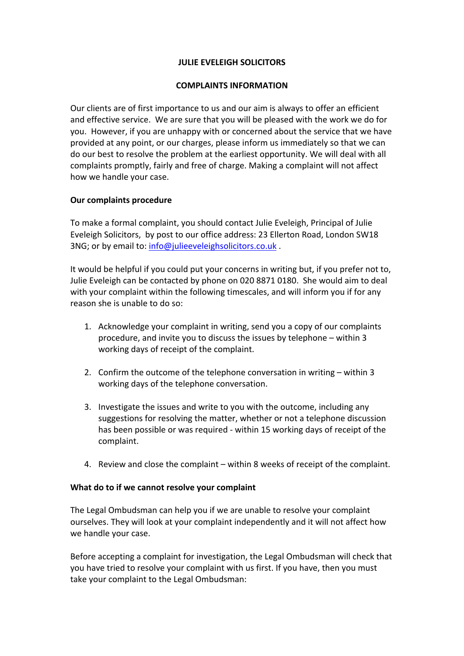## **JULIE EVELEIGH SOLICITORS**

## **COMPLAINTS INFORMATION**

Our clients are of first importance to us and our aim is always to offer an efficient and effective service. We are sure that you will be pleased with the work we do for you. However, if you are unhappy with or concerned about the service that we have provided at any point, or our charges, please inform us immediately so that we can do our best to resolve the problem at the earliest opportunity. We will deal with all complaints promptly, fairly and free of charge. Making a complaint will not affect how we handle your case.

# **Our complaints procedure**

To make a formal complaint, you should contact Julie Eveleigh, Principal of Julie Eveleigh Solicitors, by post to our office address: 23 Ellerton Road, London SW18 3NG; or by email to: info@julieeveleighsolicitors.co.uk .

It would be helpful if you could put your concerns in writing but, if you prefer not to, Julie Eveleigh can be contacted by phone on 020 8871 0180. She would aim to deal with your complaint within the following timescales, and will inform you if for any reason she is unable to do so:

- 1. Acknowledge your complaint in writing, send you a copy of our complaints procedure, and invite you to discuss the issues by telephone – within 3 working days of receipt of the complaint.
- 2. Confirm the outcome of the telephone conversation in writing within 3 working days of the telephone conversation.
- 3. Investigate the issues and write to you with the outcome, including any suggestions for resolving the matter, whether or not a telephone discussion has been possible or was required - within 15 working days of receipt of the complaint.
- 4. Review and close the complaint within 8 weeks of receipt of the complaint.

## **What do to if we cannot resolve your complaint**

The Legal Ombudsman can help you if we are unable to resolve your complaint ourselves. They will look at your complaint independently and it will not affect how we handle your case.

Before accepting a complaint for investigation, the Legal Ombudsman will check that you have tried to resolve your complaint with us first. If you have, then you must take your complaint to the Legal Ombudsman: